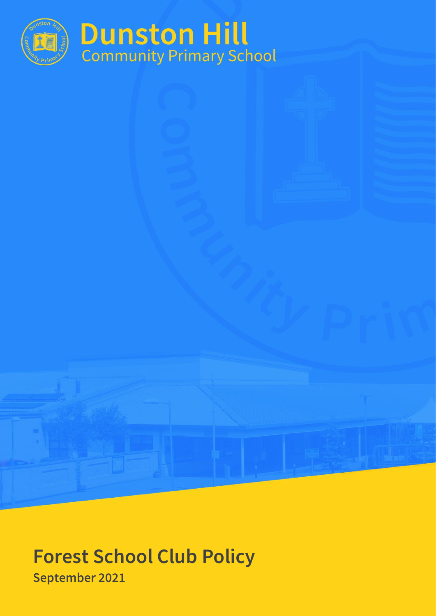

# **Forest School Club Policy September 2021**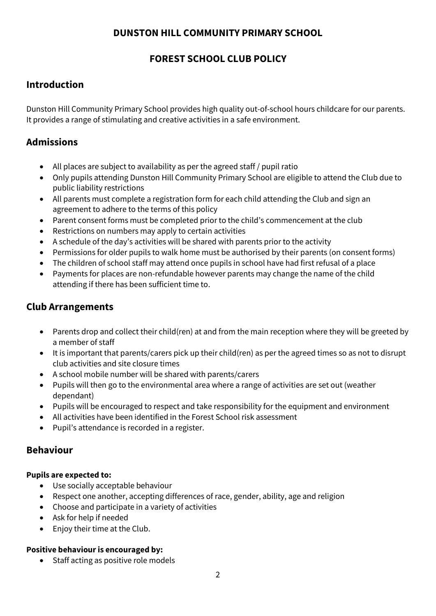### **DUNSTON HILL COMMUNITY PRIMARY SCHOOL**

## **FOREST SCHOOL CLUB POLICY**

# **Introduction**

Dunston Hill Community Primary School provides high quality out-of-school hours childcare for our parents. It provides a range of stimulating and creative activities in a safe environment.

# **Admissions**

- All places are subject to availability as per the agreed staff / pupil ratio
- Only pupils attending Dunston Hill Community Primary School are eligible to attend the Club due to public liability restrictions
- All parents must complete a registration form for each child attending the Club and sign an agreement to adhere to the terms of this policy
- Parent consent forms must be completed prior to the child's commencement at the club
- Restrictions on numbers may apply to certain activities
- A schedule of the day's activities will be shared with parents prior to the activity
- Permissions for older pupils to walk home must be authorised by their parents (on consent forms)
- The children of school staff may attend once pupils in school have had first refusal of a place
- Payments for places are non-refundable however parents may change the name of the child attending if there has been sufficient time to.

## **Club Arrangements**

- Parents drop and collect their child(ren) at and from the main reception where they will be greeted by a member of staff
- It is important that parents/carers pick up their child(ren) as per the agreed times so as not to disrupt club activities and site closure times
- A school mobile number will be shared with parents/carers
- Pupils will then go to the environmental area where a range of activities are set out (weather dependant)
- Pupils will be encouraged to respect and take responsibility for the equipment and environment
- All activities have been identified in the Forest School risk assessment
- Pupil's attendance is recorded in a register.

# **Behaviour**

#### **Pupils are expected to:**

- Use socially acceptable behaviour
- Respect one another, accepting differences of race, gender, ability, age and religion
- Choose and participate in a variety of activities
- Ask for help if needed
- Enjoy their time at the Club.

#### **Positive behaviour is encouraged by:**

• Staff acting as positive role models